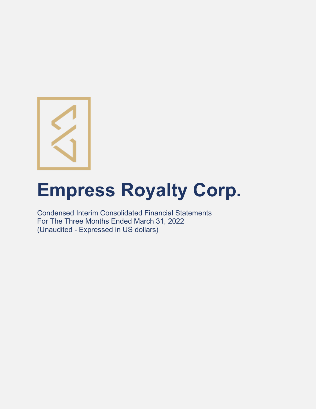

# **Empress Royalty Corp.**

Condensed Interim Consolidated Financial Statements For The Three Months Ended March 31, 2022 (Unaudited - Expressed in US dollars)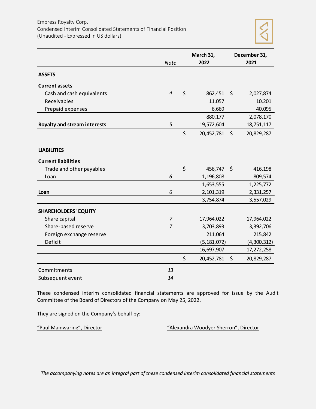

|                                     |                | March 31,        |         | December 31, |
|-------------------------------------|----------------|------------------|---------|--------------|
|                                     | <b>Note</b>    | 2022             |         | 2021         |
| <b>ASSETS</b>                       |                |                  |         |              |
| <b>Current assets</b>               |                |                  |         |              |
| Cash and cash equivalents           | $\overline{4}$ | \$<br>862,451    | \$      | 2,027,874    |
| Receivables                         |                | 11,057           |         | 10,201       |
| Prepaid expenses                    |                | 6,669            |         | 40,095       |
|                                     |                | 880,177          |         | 2,078,170    |
| <b>Royalty and stream interests</b> | 5              | 19,572,604       |         | 18,751,117   |
|                                     |                | \$<br>20,452,781 | \$      | 20,829,287   |
| <b>LIABILITIES</b>                  |                |                  |         |              |
| <b>Current liabilities</b>          |                |                  |         |              |
| Trade and other payables            |                | \$<br>456,747    | $\zeta$ | 416,198      |
| Loan                                | 6              | 1,196,808        |         | 809,574      |
|                                     |                | 1,653,555        |         | 1,225,772    |
| Loan                                | 6              | 2,101,319        |         | 2,331,257    |
|                                     |                | 3,754,874        |         | 3,557,029    |
| <b>SHAREHOLDERS' EQUITY</b>         |                |                  |         |              |
| Share capital                       | 7              | 17,964,022       |         | 17,964,022   |
| Share-based reserve                 | $\overline{7}$ | 3,703,893        |         | 3,392,706    |
| Foreign exchange reserve            |                | 211,064          |         | 215,842      |
| Deficit                             |                | (5, 181, 072)    |         | (4,300,312)  |
|                                     |                | 16,697,907       |         | 17,272,258   |
|                                     |                | \$<br>20,452,781 | \$      | 20,829,287   |
| Commitments                         | 13             |                  |         |              |
| Subsequent event                    | 14             |                  |         |              |

These condensed interim consolidated financial statements are approved for issue by the Audit Committee of the Board of Directors of the Company on May 25, 2022.

They are signed on the Company's behalf by:

"Paul Mainwaring", Director "Alexandra Woodyer Sherron", Director

*The accompanying notes are an integral part of these condensed interim consolidated financial statements*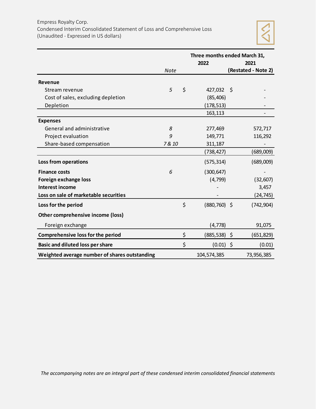

|                                               |             | Three months ended March 31, |     |                     |  |  |  |  |  |  |
|-----------------------------------------------|-------------|------------------------------|-----|---------------------|--|--|--|--|--|--|
|                                               |             | 2022                         |     | 2021                |  |  |  |  |  |  |
|                                               | <b>Note</b> |                              |     | (Restated - Note 2) |  |  |  |  |  |  |
| <b>Revenue</b>                                |             |                              |     |                     |  |  |  |  |  |  |
| Stream revenue                                | 5           | \$<br>427,032                | -\$ |                     |  |  |  |  |  |  |
| Cost of sales, excluding depletion            |             | (85, 406)                    |     |                     |  |  |  |  |  |  |
| Depletion                                     |             | (178, 513)                   |     |                     |  |  |  |  |  |  |
|                                               |             | 163,113                      |     |                     |  |  |  |  |  |  |
| <b>Expenses</b>                               |             |                              |     |                     |  |  |  |  |  |  |
| General and administrative                    | 8           | 277,469                      |     | 572,717             |  |  |  |  |  |  |
| Project evaluation                            | 9           | 149,771                      |     | 116,292             |  |  |  |  |  |  |
| Share-based compensation                      | 7 & 10      | 311,187                      |     |                     |  |  |  |  |  |  |
|                                               |             | (738,427)                    |     | (689,009)           |  |  |  |  |  |  |
| Loss from operations                          |             | (575, 314)                   |     | (689,009)           |  |  |  |  |  |  |
| <b>Finance costs</b>                          | 6           | (300, 647)                   |     |                     |  |  |  |  |  |  |
| Foreign exchange loss                         |             | (4, 799)                     |     | (32, 607)           |  |  |  |  |  |  |
| <b>Interest income</b>                        |             |                              |     | 3,457               |  |  |  |  |  |  |
| Loss on sale of marketable securities         |             |                              |     | (24, 745)           |  |  |  |  |  |  |
| Loss for the period                           |             | \$<br>$(880, 760)$ \$        |     | (742, 904)          |  |  |  |  |  |  |
| Other comprehensive income (loss)             |             |                              |     |                     |  |  |  |  |  |  |
| Foreign exchange                              |             | (4, 778)                     |     | 91,075              |  |  |  |  |  |  |
| <b>Comprehensive loss for the period</b>      |             | \$<br>(885,538) \$           |     | (651, 829)          |  |  |  |  |  |  |
| <b>Basic and diluted loss per share</b>       |             | \$<br>$(0.01)$ \$            |     | (0.01)              |  |  |  |  |  |  |
| Weighted average number of shares outstanding |             | 104,574,385                  |     | 73,956,385          |  |  |  |  |  |  |

*The accompanying notes are an integral part of these condensed interim consolidated financial statements*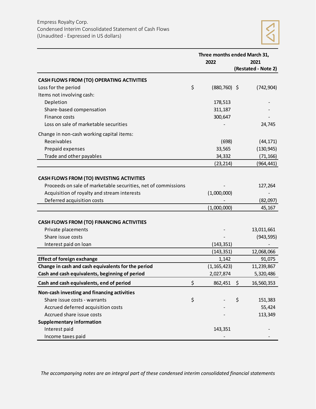|                                                               | Three months ended March 31, |                     |
|---------------------------------------------------------------|------------------------------|---------------------|
|                                                               | 2022                         | 2021                |
|                                                               |                              | (Restated - Note 2) |
| <b>CASH FLOWS FROM (TO) OPERATING ACTIVITIES</b>              |                              |                     |
| Loss for the period                                           | \$<br>$(880, 760)$ \$        | (742, 904)          |
| Items not involving cash:                                     |                              |                     |
| Depletion                                                     | 178,513                      |                     |
| Share-based compensation                                      | 311,187                      |                     |
| Finance costs                                                 | 300,647                      |                     |
| Loss on sale of marketable securities                         |                              | 24,745              |
| Change in non-cash working capital items:                     |                              |                     |
| Receivables                                                   | (698)                        | (44, 171)           |
| Prepaid expenses                                              | 33,565                       | (130, 945)          |
| Trade and other payables                                      | 34,332                       | (71, 166)           |
|                                                               | (23, 214)                    | (964, 441)          |
|                                                               |                              |                     |
| <b>CASH FLOWS FROM (TO) INVESTING ACTIVITIES</b>              |                              |                     |
| Proceeds on sale of marketable securities, net of commissions |                              | 127,264             |
| Acquisition of royalty and stream interests                   | (1,000,000)                  |                     |
| Deferred acquisition costs                                    |                              | (82,097)            |
|                                                               | (1,000,000)                  | 45,167              |
| <b>CASH FLOWS FROM (TO) FINANCING ACTIVITIES</b>              |                              |                     |
| Private placements                                            |                              | 13,011,661          |
| Share issue costs                                             |                              | (943, 595)          |
| Interest paid on loan                                         | (143, 351)                   |                     |
|                                                               | (143, 351)                   | 12,068,066          |
| <b>Effect of foreign exchange</b>                             | 1,142                        | 91,075              |
| Change in cash and cash equivalents for the period            | (1, 165, 423)                | 11,239,867          |
| Cash and cash equivalents, beginning of period                | 2,027,874                    | 5,320,486           |
| Cash and cash equivalents, end of period                      | \$<br>862,451                | \$<br>16,560,353    |
| Non-cash investing and financing activities                   |                              |                     |
| Share issue costs - warrants                                  | \$                           | \$<br>151,383       |
| Accrued deferred acquisition costs                            |                              | 55,424              |
| Accrued share issue costs                                     |                              | 113,349             |
| <b>Supplementary information</b>                              |                              |                     |
| Interest paid                                                 | 143,351                      |                     |
| Income taxes paid                                             |                              |                     |

*The accompanying notes are an integral part of these condensed interim consolidated financial statements*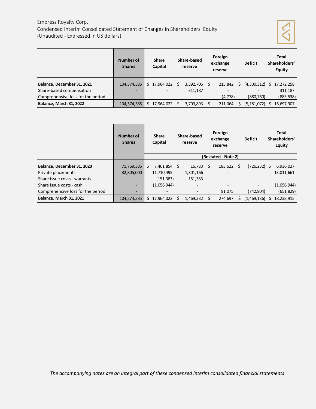# Empress Royalty Corp. Condensed Interim Consolidated Statement of Changes in Shareholders' Equity (Unaudited - Expressed in US dollars)



|                                   | Number of<br><b>Shares</b> | <b>Share</b><br>Capital  |   | Share-based<br>reserve   |   | Foreign<br>exchange<br>reserve |    | <b>Deficit</b>              |    | <b>Total</b><br>Shareholders'<br><b>Equity</b> |
|-----------------------------------|----------------------------|--------------------------|---|--------------------------|---|--------------------------------|----|-----------------------------|----|------------------------------------------------|
| Balance, December 31, 2021        | 104,574,385                | \$17,964,022             | S | 3,392,706                | S | 215.842                        | Ś. | $(4,300,312)$ \$ 17,272,258 |    |                                                |
| Share-based compensation          | ۰.                         | ٠                        |   | 311,187                  |   |                                |    |                             |    | 311,187                                        |
| Comprehensive loss for the period | $\overline{\phantom{0}}$   | $\overline{\phantom{0}}$ |   | $\overline{\phantom{a}}$ |   | (4, 778)                       |    | (880, 760)                  |    | (885, 538)                                     |
| Balance, March 31, 2022           | 104,574,385                | \$17,964,022             |   | 3,703,893                |   | 211.064                        |    | (5, 181, 072)               | S. | 16,697,907                                     |

|                                   | Number of<br><b>Shares</b> |    | <b>Share</b><br>Capital |    | Share-based<br>reserve | Foreign<br>exchange<br>reserve |                     | <b>Deficit</b> |                  | <b>Total</b><br>Shareholders'<br><b>Equity</b> |
|-----------------------------------|----------------------------|----|-------------------------|----|------------------------|--------------------------------|---------------------|----------------|------------------|------------------------------------------------|
|                                   |                            |    |                         |    |                        |                                | (Restated - Note 2) |                |                  |                                                |
| Balance, December 31, 2020        | 71,769,385                 | Ś  | 7,461,854 \$            |    | 16,783                 | Ŝ.                             | 183.622             | Ŝ.             | $(726, 232)$ \$  | 6,936,027                                      |
| Private placements                | 32,805,000                 |    | 11,710,495              |    | 1,301,166              |                                |                     |                |                  | 13,011,661                                     |
| Share issue costs - warrants      | $\overline{\phantom{0}}$   |    | (151, 383)              |    | 151,383                |                                |                     |                |                  |                                                |
| Share issue costs - cash          |                            |    | (1,056,944)             |    |                        |                                |                     |                |                  | (1,056,944)                                    |
| Comprehensive loss for the period | $\overline{\phantom{0}}$   |    |                         |    |                        |                                | 91,075              |                | (742,904)        | (651, 829)                                     |
| <b>Balance, March 31, 2021</b>    | 104,574,385                | \$ | 17,964,022              | -Ŝ | 1,469,332              | Ś.                             | 274.697             | Ś.             | $(1,469,136)$ \$ | 18,238,915                                     |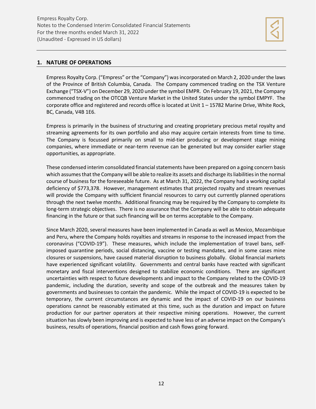

# **1. NATURE OF OPERATIONS**

Empress Royalty Corp. ("Empress" or the "Company") wasincorporated on March 2, 2020 under the laws of the Province of British Columbia, Canada. The Company commenced trading on the TSX Venture Exchange ("TSX-V") on December 29, 2020 under the symbol EMPR. On February 19, 2021, the Company commenced trading on the OTCQB Venture Market in the United States under the symbol EMPYF. The corporate office and registered and records office is located at Unit 1 – 15782 Marine Drive, White Rock, BC, Canada, V4B 1E6.

Empress is primarily in the business of structuring and creating proprietary precious metal royalty and streaming agreements for its own portfolio and also may acquire certain interests from time to time. The Company is focussed primarily on small to mid-tier producing or development stage mining companies, where immediate or near-term revenue can be generated but may consider earlier stage opportunities, as appropriate.

These condensed interim consolidated financial statements have been prepared on a going concern basis which assumes that the Company will be able to realize its assets and discharge its liabilities in the normal course of business for the foreseeable future. As at March 31, 2022, the Company had a working capital deficiency of \$773,378. However, management estimates that projected royalty and stream revenues will provide the Company with sufficient financial resources to carry out currently planned operations through the next twelve months. Additional financing may be required by the Company to complete its long-term strategic objectives. There is no assurance that the Company will be able to obtain adequate financing in the future or that such financing will be on terms acceptable to the Company.

Since March 2020, several measures have been implemented in Canada as well as Mexico, Mozambique and Peru, where the Company holds royalties and streams in response to the increased impact from the coronavirus ("COVID-19"). These measures, which include the implementation of travel bans, selfimposed quarantine periods, social distancing, vaccine or testing mandates, and in some cases mine closures or suspensions, have caused material disruption to business globally. Global financial markets have experienced significant volatility. Governments and central banks have reacted with significant monetary and fiscal interventions designed to stabilize economic conditions. There are significant uncertainties with respect to future developments and impact to the Company related to the COVID-19 pandemic, including the duration, severity and scope of the outbreak and the measures taken by governments and businesses to contain the pandemic. While the impact of COVID-19 is expected to be temporary, the current circumstances are dynamic and the impact of COVID-19 on our business operations cannot be reasonably estimated at this time, such as the duration and impact on future production for our partner operators at their respective mining operations. However, the current situation has slowly been improving and is expected to have less of an adverse impact on the Company's business, results of operations, financial position and cash flows going forward.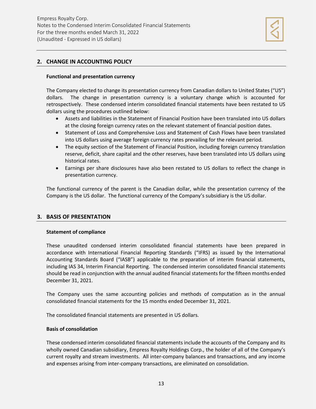

# **2. CHANGE IN ACCOUNTING POLICY**

## **Functional and presentation currency**

The Company elected to change its presentation currency from Canadian dollars to United States ("US") dollars. The change in presentation currency is a voluntary change which is accounted for retrospectively. These condensed interim consolidated financial statements have been restated to US dollars using the procedures outlined below:

- Assets and liabilities in the Statement of Financial Position have been translated into US dollars at the closing foreign currency rates on the relevant statement of financial position dates.
- Statement of Loss and Comprehensive Loss and Statement of Cash Flows have been translated into US dollars using average foreign currency rates prevailing for the relevant period.
- The equity section of the Statement of Financial Position, including foreign currency translation reserve, deficit, share capital and the other reserves, have been translated into US dollars using historical rates.
- Earnings per share disclosures have also been restated to US dollars to reflect the change in presentation currency.

The functional currency of the parent is the Canadian dollar, while the presentation currency of the Company is the US dollar. The functional currency of the Company's subsidiary is the US dollar.

# **3. BASIS OF PRESENTATION**

# **Statement of compliance**

These unaudited condensed interim consolidated financial statements have been prepared in accordance with International Financial Reporting Standards ("IFRS) as issued by the International Accounting Standards Board ("IASB") applicable to the preparation of interim financial statements, including IAS 34, Interim Financial Reporting. The condensed interim consolidated financial statements should be read in conjunction with the annual audited financial statements for the fifteen months ended December 31, 2021.

The Company uses the same accounting policies and methods of computation as in the annual consolidated financial statements for the 15 months ended December 31, 2021.

The consolidated financial statements are presented in US dollars.

#### **Basis of consolidation**

These condensed interim consolidated financial statements include the accounts of the Company and its wholly owned Canadian subsidiary, Empress Royalty Holdings Corp., the holder of all of the Company's current royalty and stream investments. All inter-company balances and transactions, and any income and expenses arising from inter-company transactions, are eliminated on consolidation.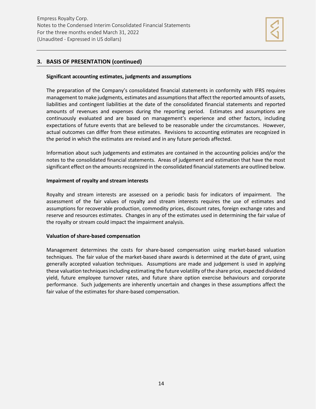

# **3. BASIS OF PRESENTATION (continued)**

## **Significant accounting estimates, judgments and assumptions**

The preparation of the Company's consolidated financial statements in conformity with IFRS requires management to make judgments, estimates and assumptions that affect the reported amounts of assets, liabilities and contingent liabilities at the date of the consolidated financial statements and reported amounts of revenues and expenses during the reporting period. Estimates and assumptions are continuously evaluated and are based on management's experience and other factors, including expectations of future events that are believed to be reasonable under the circumstances. However, actual outcomes can differ from these estimates. Revisions to accounting estimates are recognized in the period in which the estimates are revised and in any future periods affected.

Information about such judgements and estimates are contained in the accounting policies and/or the notes to the consolidated financial statements. Areas of judgement and estimation that have the most significant effect on the amounts recognized in the consolidated financial statements are outlined below.

# **Impairment of royalty and stream interests**

Royalty and stream interests are assessed on a periodic basis for indicators of impairment. The assessment of the fair values of royalty and stream interests requires the use of estimates and assumptions for recoverable production, commodity prices, discount rates, foreign exchange rates and reserve and resources estimates. Changes in any of the estimates used in determining the fair value of the royalty or stream could impact the impairment analysis.

# **Valuation of share-based compensation**

Management determines the costs for share-based compensation using market-based valuation techniques. The fair value of the market-based share awards is determined at the date of grant, using generally accepted valuation techniques. Assumptions are made and judgement is used in applying these valuation techniques including estimating the future volatility of the share price, expected dividend yield, future employee turnover rates, and future share option exercise behaviours and corporate performance. Such judgements are inherently uncertain and changes in these assumptions affect the fair value of the estimates for share-based compensation.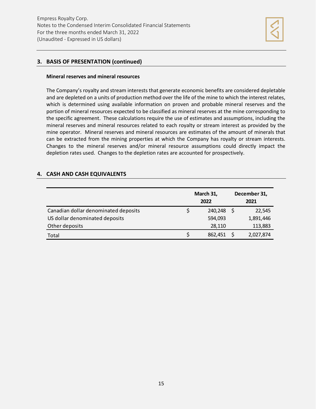

# **3. BASIS OF PRESENTATION (continued)**

#### **Mineral reserves and mineral resources**

The Company's royalty and stream interests that generate economic benefits are considered depletable and are depleted on a units of production method over the life of the mine to which the interest relates, which is determined using available information on proven and probable mineral reserves and the portion of mineral resources expected to be classified as mineral reserves at the mine corresponding to the specific agreement. These calculations require the use of estimates and assumptions, including the mineral reserves and mineral resources related to each royalty or stream interest as provided by the mine operator. Mineral reserves and mineral resources are estimates of the amount of minerals that can be extracted from the mining properties at which the Company has royalty or stream interests. Changes to the mineral reserves and/or mineral resource assumptions could directly impact the depletion rates used. Changes to the depletion rates are accounted for prospectively.

# **4. CASH AND CASH EQUIVALENTS**

|                                      | March 31,<br>2022 | December 31,<br>2021 |
|--------------------------------------|-------------------|----------------------|
| Canadian dollar denominated deposits | 240,248           | 22,545               |
| US dollar denominated deposits       | 594,093           | 1,891,446            |
| Other deposits                       | 28,110            | 113,883              |
| Total                                | 862,451           | 2,027,874            |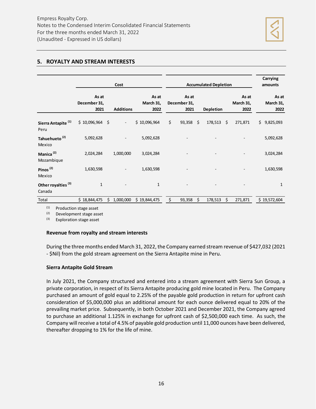

# **5. ROYALTY AND STREAM INTERESTS**

|                                          |                               |    | Cost                     | <b>Accumulated Depletion</b> | Carrying<br>amounts |                               |                  |                            |                            |
|------------------------------------------|-------------------------------|----|--------------------------|------------------------------|---------------------|-------------------------------|------------------|----------------------------|----------------------------|
|                                          | As at<br>December 31,<br>2021 |    | <b>Additions</b>         | As at<br>March 31,<br>2022   |                     | As at<br>December 31,<br>2021 | <b>Depletion</b> | As at<br>March 31,<br>2022 | As at<br>March 31,<br>2022 |
| Sierra Antapite <sup>(1)</sup><br>Peru   | $$10,096,964$ \$              |    | $\overline{\phantom{a}}$ | \$10,096,964                 | \$                  | $93,358$ \$                   | $178,513$ \$     | 271,871                    | \$<br>9,825,093            |
| Tahuehueto <sup>(2)</sup><br>Mexico      | 5,092,628                     |    |                          | 5,092,628                    |                     |                               |                  |                            | 5,092,628                  |
| Manica <sup>(2)</sup><br>Mozambique      | 2,024,284                     |    | 1,000,000                | 3,024,284                    |                     |                               |                  |                            | 3,024,284                  |
| Pinos <sup>(2)</sup><br>Mexico           | 1,630,598                     |    |                          | 1,630,598                    |                     |                               |                  |                            | 1,630,598                  |
| Other royalties <sup>(3)</sup><br>Canada | $\mathbf 1$                   |    |                          | $\mathbf 1$                  |                     |                               |                  |                            | 1                          |
| Total                                    | \$18,844,475                  | Ś. | 1,000,000                | \$19,844,475                 | \$                  | 93,358                        | \$<br>178,513    | \$<br>271,871              | \$19,572,604               |

(1) Production stage asset

(2) Development stage asset

(3) Exploration stage asset

#### **Revenue from royalty and stream interests**

During the three months ended March 31, 2022, the Company earned stream revenue of \$427,032 (2021 - \$Nil) from the gold stream agreement on the Sierra Antapite mine in Peru.

#### **Sierra Antapite Gold Stream**

In July 2021, the Company structured and entered into a stream agreement with Sierra Sun Group, a private corporation, in respect of its Sierra Antapite producing gold mine located in Peru. The Company purchased an amount of gold equal to 2.25% of the payable gold production in return for upfront cash consideration of \$5,000,000 plus an additional amount for each ounce delivered equal to 20% of the prevailing market price. Subsequently, in both October 2021 and December 2021, the Company agreed to purchase an additional 1.125% in exchange for upfront cash of \$2,500,000 each time. As such, the Company will receive a total of 4.5% of payable gold production until 11,000 ounces have been delivered, thereafter dropping to 1% for the life of mine.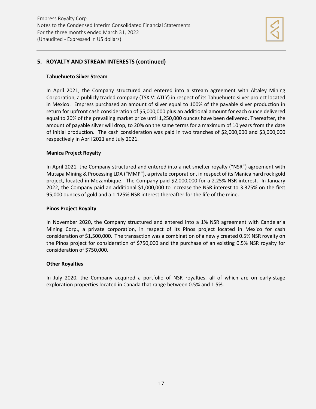

# **5. ROYALTY AND STREAM INTERESTS (continued)**

## **Tahuehueto Silver Stream**

In April 2021, the Company structured and entered into a stream agreement with Altaley Mining Corporation, a publicly traded company (TSX.V: ATLY) in respect of its Tahuehueto silver project located in Mexico. Empress purchased an amount of silver equal to 100% of the payable silver production in return for upfront cash consideration of \$5,000,000 plus an additional amount for each ounce delivered equal to 20% of the prevailing market price until 1,250,000 ounces have been delivered. Thereafter, the amount of payable silver will drop, to 20% on the same terms for a maximum of 10 years from the date of initial production. The cash consideration was paid in two tranches of \$2,000,000 and \$3,000,000 respectively in April 2021 and July 2021.

# **Manica Project Royalty**

In April 2021, the Company structured and entered into a net smelter royalty ("NSR") agreement with Mutapa Mining & Processing LDA ("MMP"), a private corporation, in respect of its Manica hard rock gold project, located in Mozambique. The Company paid \$2,000,000 for a 2.25% NSR interest. In January 2022, the Company paid an additional \$1,000,000 to increase the NSR interest to 3.375% on the first 95,000 ounces of gold and a 1.125% NSR interest thereafter for the life of the mine.

#### **Pinos Project Royalty**

In November 2020, the Company structured and entered into a 1% NSR agreement with Candelaria Mining Corp., a private corporation, in respect of its Pinos project located in Mexico for cash consideration of \$1,500,000. The transaction was a combination of a newly created 0.5% NSR royalty on the Pinos project for consideration of \$750,000 and the purchase of an existing 0.5% NSR royalty for consideration of \$750,000.

#### **Other Royalties**

In July 2020, the Company acquired a portfolio of NSR royalties, all of which are on early-stage exploration properties located in Canada that range between 0.5% and 1.5%.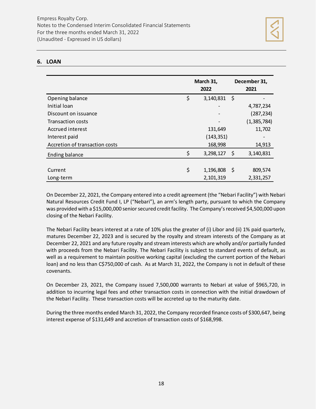# **6. LOAN**

|                                | March 31,<br>2022    | December 31,<br>2021         |
|--------------------------------|----------------------|------------------------------|
| Opening balance                | \$<br>3,140,831      | \$                           |
| Initial Ioan                   |                      | 4,787,234                    |
| Discount on issuance           |                      | (287, 234)                   |
| <b>Transaction costs</b>       |                      | (1, 385, 784)                |
| Accrued interest               | 131,649              | 11,702                       |
| Interest paid                  | (143, 351)           | $\qquad \qquad \blacksquare$ |
| Accretion of transaction costs | 168,998              | 14,913                       |
| Ending balance                 | \$<br>3,298,127      | \$<br>3,140,831              |
|                                |                      |                              |
| Current                        | \$<br>$1,196,808$ \$ | 809,574                      |
| Long-term                      | 2,101,319            | 2,331,257                    |

On December 22, 2021, the Company entered into a credit agreement (the "Nebari Facility") with Nebari Natural Resources Credit Fund I, LP ("Nebari"), an arm's length party, pursuant to which the Company was provided with a \$15,000,000 senior secured credit facility. The Company's received \$4,500,000 upon closing of the Nebari Facility.

The Nebari Facility bears interest at a rate of 10% plus the greater of (i) Libor and (ii) 1% paid quarterly, matures December 22, 2023 and is secured by the royalty and stream interests of the Company as at December 22, 2021 and any future royalty and stream interests which are wholly and/or partially funded with proceeds from the Nebari Facility. The Nebari Facility is subject to standard events of default, as well as a requirement to maintain positive working capital (excluding the current portion of the Nebari loan) and no less than C\$750,000 of cash. As at March 31, 2022, the Company is not in default of these covenants.

On December 23, 2021, the Company issued 7,500,000 warrants to Nebari at value of \$965,720, in addition to incurring legal fees and other transaction costs in connection with the initial drawdown of the Nebari Facility. These transaction costs will be accreted up to the maturity date.

During the three months ended March 31, 2022, the Company recorded finance costs of \$300,647, being interest expense of \$131,649 and accretion of transaction costs of \$168,998.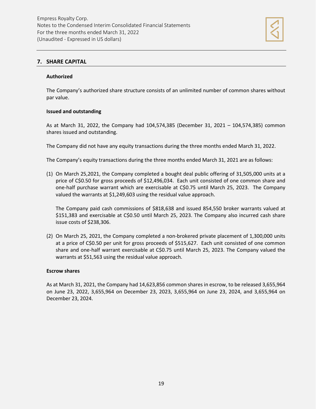

# **7. SHARE CAPITAL**

#### **Authorized**

The Company's authorized share structure consists of an unlimited number of common shares without par value.

#### **Issued and outstanding**

As at March 31, 2022, the Company had 104,574,385 (December 31, 2021 – 104,574,385) common shares issued and outstanding.

The Company did not have any equity transactions during the three months ended March 31, 2022.

The Company's equity transactions during the three months ended March 31, 2021 are as follows:

(1) On March 25,2021, the Company completed a bought deal public offering of 31,505,000 units at a price of C\$0.50 for gross proceeds of \$12,496,034. Each unit consisted of one common share and one-half purchase warrant which are exercisable at C\$0.75 until March 25, 2023. The Company valued the warrants at \$1,249,603 using the residual value approach.

The Company paid cash commissions of \$818,638 and issued 854,550 broker warrants valued at \$151,383 and exercisable at C\$0.50 until March 25, 2023. The Company also incurred cash share issue costs of \$238,306.

(2) On March 25, 2021, the Company completed a non-brokered private placement of 1,300,000 units at a price of C\$0.50 per unit for gross proceeds of \$515,627. Each unit consisted of one common share and one-half warrant exercisable at C\$0.75 until March 25, 2023. The Company valued the warrants at \$51,563 using the residual value approach.

#### **Escrow shares**

As at March 31, 2021, the Company had 14,623,856 common shares in escrow, to be released 3,655,964 on June 23, 2022, 3,655,964 on December 23, 2023, 3,655,964 on June 23, 2024, and 3,655,964 on December 23, 2024.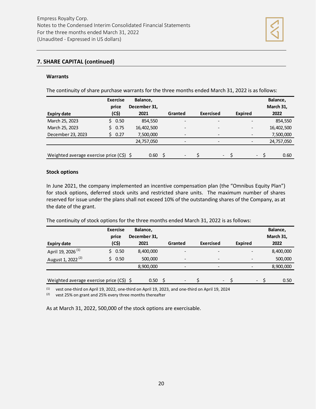

# **7. SHARE CAPITAL (continued)**

#### **Warrants**

The continuity of share purchase warrants for the three months ended March 31, 2022 is as follows:

|                                           | <b>Exercise</b><br>price | Balance,<br>December 31, |   |         |                              |                          | Balance,<br>March 31, |
|-------------------------------------------|--------------------------|--------------------------|---|---------|------------------------------|--------------------------|-----------------------|
| <b>Expiry date</b>                        | (C5)                     | 2021                     |   | Granted | <b>Exercised</b>             | Expired                  | 2022                  |
| March 25, 2023                            | 0.50<br>S.               | 854,550                  |   |         |                              |                          | 854,550               |
| March 25, 2023                            | 0.75                     | 16,402,500               |   |         | $\qquad \qquad \blacksquare$ | $\overline{\phantom{a}}$ | 16,402,500            |
| December 23, 2023                         | 0.27                     | 7,500,000                |   | -       | $\qquad \qquad \blacksquare$ |                          | 7,500,000             |
|                                           |                          | 24,757,050               |   |         | $\qquad \qquad \blacksquare$ |                          | 24,757,050            |
|                                           |                          |                          |   |         |                              |                          |                       |
| Weighted average exercise price $(C5)$ \$ |                          | 0.60                     | S |         | $\overline{\phantom{a}}$     | $\overline{\phantom{a}}$ | 0.60                  |

#### **Stock options**

In June 2021, the company implemented an incentive compensation plan (the "Omnibus Equity Plan") for stock options, deferred stock units and restricted share units. The maximum number of shares reserved for issue under the plans shall not exceed 10% of the outstanding shares of the Company, as at the date of the grant.

The continuity of stock options for the three months ended March 31, 2022 is as follows:

|                                          | <b>Exercise</b> | Balance,     |                               |                          |                          | Balance,  |
|------------------------------------------|-----------------|--------------|-------------------------------|--------------------------|--------------------------|-----------|
|                                          | price           | December 31, |                               |                          |                          | March 31, |
| <b>Expiry date</b>                       | (C5)            | 2021         | Granted                       | <b>Exercised</b>         | <b>Expired</b>           | 2022      |
| April 19, 2026 <sup>(1)</sup>            | 0.50<br>S.      | 8,400,000    | $\overline{\phantom{0}}$      | $\overline{\phantom{0}}$ | -                        | 8,400,000 |
| August 1, 2022 <sup>(2)</sup>            | 0.50            | 500,000      | $\overline{\phantom{0}}$      | -                        | -                        | 500,000   |
|                                          |                 | 8,900,000    |                               | $\overline{\phantom{0}}$ | -                        | 8,900,000 |
|                                          |                 |              |                               |                          |                          |           |
| Weighted average exercise price (C\$) \$ |                 | 0.50         | S<br>$\overline{\phantom{0}}$ | $\overline{\phantom{a}}$ | $\overline{\phantom{a}}$ | 0.50      |

(1) vest one-third on April 19, 2022, one-third on April 19, 2023, and one-third on April 19, 2024

(2) vest 25% on grant and 25% every three months thereafter

As at March 31, 2022, 500,000 of the stock options are exercisable.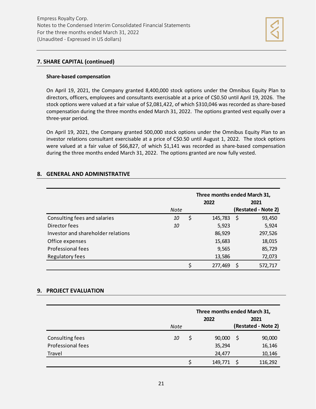

# **7. SHARE CAPITAL (continued)**

# **Share-based compensation**

On April 19, 2021, the Company granted 8,400,000 stock options under the Omnibus Equity Plan to directors, officers, employees and consultants exercisable at a price of C\$0.50 until April 19, 2026. The stock options were valued at a fair value of \$2,081,422, of which \$310,046 was recorded as share-based compensation during the three months ended March 31, 2022. The options granted vest equally over a three-year period.

On April 19, 2021, the Company granted 500,000 stock options under the Omnibus Equity Plan to an investor relations consultant exercisable at a price of C\$0.50 until August 1, 2022. The stock options were valued at a fair value of \$66,827, of which \$1,141 was recorded as share-based compensation during the three months ended March 31, 2022. The options granted are now fully vested.

# **8. GENERAL AND ADMINISTRATIVE**

|                                    | Note | 2022          | Three months ended March 31,<br>2021<br>(Restated - Note 2) |         |  |  |  |  |
|------------------------------------|------|---------------|-------------------------------------------------------------|---------|--|--|--|--|
| Consulting fees and salaries       | 10   | \$<br>145,783 | S                                                           | 93,450  |  |  |  |  |
| Director fees                      | 10   | 5,923         |                                                             | 5,924   |  |  |  |  |
| Investor and shareholder relations |      | 86,929        |                                                             | 297,526 |  |  |  |  |
| Office expenses                    |      | 15,683        |                                                             | 18,015  |  |  |  |  |
| Professional fees                  |      | 9,565         |                                                             | 85,729  |  |  |  |  |
| Regulatory fees                    |      | 13,586        |                                                             | 72,073  |  |  |  |  |
|                                    |      | \$<br>277,469 |                                                             | 572,717 |  |  |  |  |

# **9. PROJECT EVALUATION**

|                   |           |    | Three months ended March 31, |    |                     |
|-------------------|-----------|----|------------------------------|----|---------------------|
|                   |           |    | 2021                         |    |                     |
|                   | Note      |    |                              |    | (Restated - Note 2) |
| Consulting fees   | <i>10</i> | \$ | 90,000                       | -S | 90,000              |
| Professional fees |           |    | 35,294                       |    | 16,146              |
| Travel            |           |    | 24,477                       |    | 10,146              |
|                   |           |    | 149,771                      |    | 116,292             |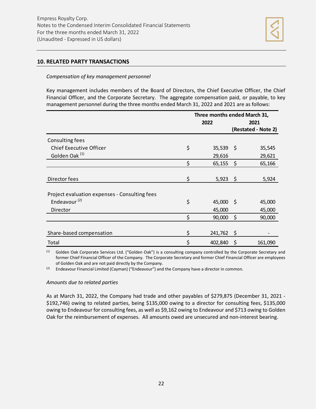

# **10. RELATED PARTY TRANSACTIONS**

#### *Compensation of key management personnel*

Key management includes members of the Board of Directors, the Chief Executive Officer, the Chief Financial Officer, and the Corporate Secretary. The aggregate compensation paid, or payable, to key management personnel during the three months ended March 31, 2022 and 2021 are as follows:

|                                               | Three months ended March 31, |         |                     |  |
|-----------------------------------------------|------------------------------|---------|---------------------|--|
|                                               | 2022                         | 2021    |                     |  |
|                                               |                              |         | (Restated - Note 2) |  |
| Consulting fees                               |                              |         |                     |  |
| <b>Chief Executive Officer</b>                | \$<br>$35,539$ \$            |         | 35,545              |  |
| Golden Oak <sup>(1)</sup>                     | 29,616                       |         | 29,621              |  |
|                                               | \$<br>$65,155$ \$            |         | 65,166              |  |
|                                               |                              |         |                     |  |
| Director fees                                 | \$<br>$5,923$ \$             |         | 5,924               |  |
|                                               |                              |         |                     |  |
| Project evaluation expenses - Consulting fees |                              |         |                     |  |
| Endeavour $(2)$                               | \$<br>45,000 \$              |         | 45,000              |  |
| Director                                      | 45,000                       |         | 45,000              |  |
|                                               | \$<br>90,000                 | $\zeta$ | 90,000              |  |
|                                               |                              |         |                     |  |
| Share-based compensation                      | \$<br>241,762                | \$      |                     |  |
| Total                                         | \$<br>402,840                | \$      | 161,090             |  |

(1) Golden Oak Corporate Services Ltd. ("Golden Oak") is a consulting company controlled by the Corporate Secretary and former Chief Financial Officer of the Company. The Corporate Secretary and former Chief Financial Officer are employees of Golden Oak and are not paid directly by the Company.

 $(2)$  Endeavour Financial Limited (Cayman) ("Endeavour") and the Company have a director in common.

#### *Amounts due to related parties*

As at March 31, 2022, the Company had trade and other payables of \$279,875 (December 31, 2021 - \$192,746) owing to related parties, being \$135,000 owing to a director for consulting fees, \$135,000 owing to Endeavour for consulting fees, as well as \$9,162 owing to Endeavour and \$713 owing to Golden Oak for the reimbursement of expenses. All amounts owed are unsecured and non-interest bearing.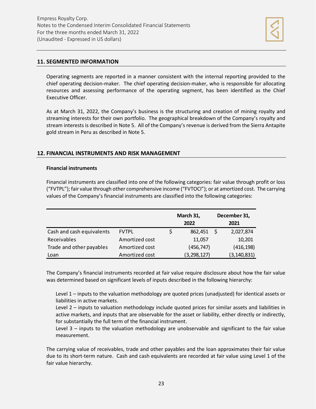

## **11. SEGMENTED INFORMATION**

Operating segments are reported in a manner consistent with the internal reporting provided to the chief operating decision-maker. The chief operating decision-maker, who is responsible for allocating resources and assessing performance of the operating segment, has been identified as the Chief Executive Officer.

As at March 31, 2022, the Company's business is the structuring and creation of mining royalty and streaming interests for their own portfolio. The geographical breakdown of the Company's royalty and stream interests is described in Note 5. All of the Company's revenue is derived from the Sierra Antapite gold stream in Peru as described in Note 5.

# **12. FINANCIAL INSTRUMENTS AND RISK MANAGEMENT**

#### **Financial instruments**

Financial instruments are classified into one of the following categories: fair value through profit or loss ("FVTPL"); fair value through other comprehensive income ("FVTOCI"); or at amortized cost. The carrying values of the Company's financial instruments are classified into the following categories:

|                           |                | March 31,<br>2022 |  | December 31,<br>2021 |
|---------------------------|----------------|-------------------|--|----------------------|
| Cash and cash equivalents | <b>FVTPL</b>   | 862,451           |  | 2,027,874            |
| Receivables               | Amortized cost | 11,057            |  | 10,201               |
| Trade and other payables  | Amortized cost | (456, 747)        |  | (416, 198)           |
| Loan                      | Amortized cost | (3, 298, 127)     |  | (3, 140, 831)        |

The Company's financial instruments recorded at fair value require disclosure about how the fair value was determined based on significant levels of inputs described in the following hierarchy:

Level 1 – inputs to the valuation methodology are quoted prices (unadjusted) for identical assets or liabilities in active markets.

Level 2 – inputs to valuation methodology include quoted prices for similar assets and liabilities in active markets, and inputs that are observable for the asset or liability, either directly or indirectly, for substantially the full term of the financial instrument.

Level 3 – inputs to the valuation methodology are unobservable and significant to the fair value measurement.

The carrying value of receivables, trade and other payables and the loan approximates their fair value due to its short-term nature. Cash and cash equivalents are recorded at fair value using Level 1 of the fair value hierarchy.